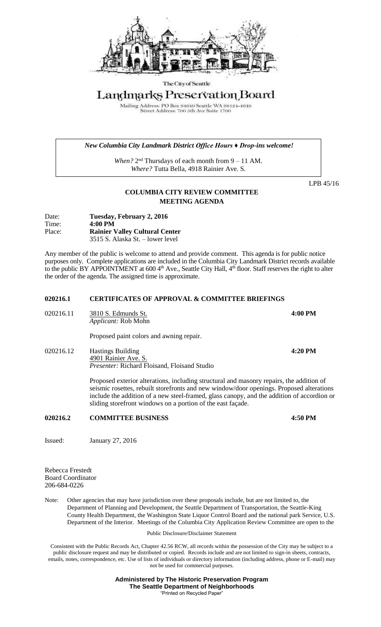

The City of Seattle

# Landmarks Preservation Board

Mailing Address: PO Box 94649 Seattle WA 98124-4649<br>Street Address: 700 5th Ave Suite 1700

#### *New Columbia City Landmark District Office Hours ♦ Drop-ins welcome!*

When?  $2<sup>nd</sup>$  Thursdays of each month from  $9 - 11$  AM. *Where?* Tutta Bella, 4918 Rainier Ave. S.

LPB 45/16

## **COLUMBIA CITY REVIEW COMMITTEE MEETING AGENDA**

Date: **Tuesday, February 2, 2016** Time: **4:00 PM**  Place: **Rainier Valley Cultural Center** 3515 S. Alaska St. – lower level

Any member of the public is welcome to attend and provide comment. This agenda is for public notice purposes only. Complete applications are included in the Columbia City Landmark District records available to the public BY APPOINTMENT at 600  $4<sup>th</sup>$  Ave., Seattle City Hall,  $4<sup>th</sup>$  floor. Staff reserves the right to alter the order of the agenda. The assigned time is approximate.

### **020216.1 CERTIFICATES OF APPROVAL & COMMITTEE BRIEFINGS**

| 020216.11 | 3810 S. Edmunds St.<br><i>Applicant:</i> Rob Mohn | 4:00 PM |
|-----------|---------------------------------------------------|---------|
|           | Proposed paint colors and awning repair.          |         |

020216.12 Hastings Building **4:20 PM** 4901 Rainier Ave. S. *Presenter:* Richard Floisand, Floisand Studio

> Proposed exterior alterations, including structural and masonry repairs, the addition of seismic rosettes, rebuilt storefronts and new window/door openings. Proposed alterations include the addition of a new steel-framed, glass canopy, and the addition of accordion or sliding storefront windows on a portion of the east façade.

#### **020216.2 COMMITTEE BUSINESS 4:50 PM**

Issued: January 27, 2016

Rebecca Frestedt Board Coordinator 206-684-0226

Note: Other agencies that may have jurisdiction over these proposals include, but are not limited to, the Department of Planning and Development, the Seattle Department of Transportation, the Seattle-King County Health Department, the Washington State Liquor Control Board and the national park Service, U.S. Department of the Interior. Meetings of the Columbia City Application Review Committee are open to the

Public Disclosure/Disclaimer Statement

Consistent with the Public Records Act, Chapter 42.56 RCW, all records within the possession of the City may be subject to a public disclosure request and may be distributed or copied. Records include and are not limited to sign-in sheets, contracts, emails, notes, correspondence, etc. Use of lists of individuals or directory information (including address, phone or E-mail) may not be used for commercial purposes.

> **Administered by The Historic Preservation Program The Seattle Department of Neighborhoods** "Printed on Recycled Paper"